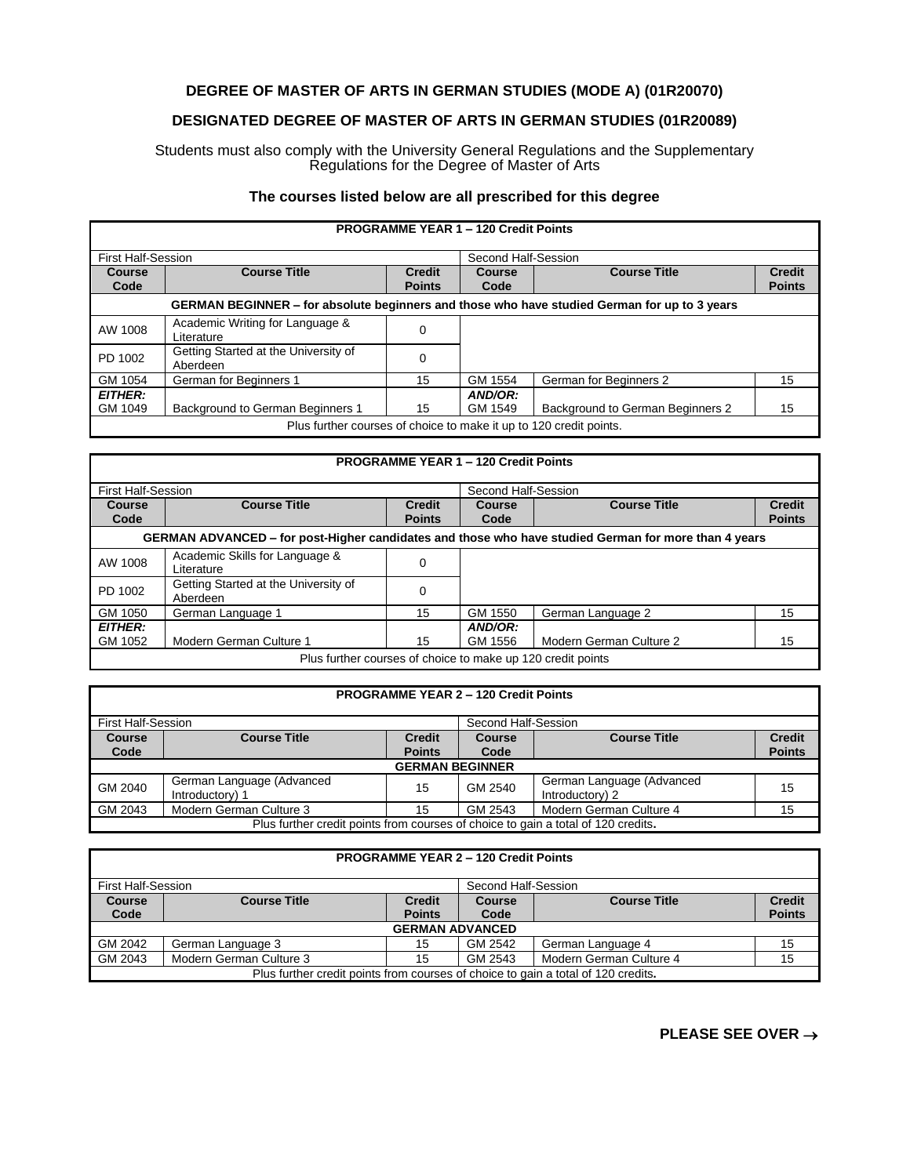## **DEGREE OF MASTER OF ARTS IN GERMAN STUDIES (MODE A) (01R20070)**

## **DESIGNATED DEGREE OF MASTER OF ARTS IN GERMAN STUDIES (01R20089)**

Students must also comply with the University General Regulations and the Supplementary Regulations for the Degree of Master of Arts

## **The courses listed below are all prescribed for this degree**

| <b>PROGRAMME YEAR 1 - 120 Credit Points</b>                                                  |                                                  |                                |                       |                                  |                                |  |
|----------------------------------------------------------------------------------------------|--------------------------------------------------|--------------------------------|-----------------------|----------------------------------|--------------------------------|--|
| <b>First Half-Session</b>                                                                    |                                                  |                                | Second Half-Session   |                                  |                                |  |
| <b>Course</b><br>Code                                                                        | <b>Course Title</b>                              | <b>Credit</b><br><b>Points</b> | <b>Course</b><br>Code | <b>Course Title</b>              | <b>Credit</b><br><b>Points</b> |  |
| GERMAN BEGINNER - for absolute beginners and those who have studied German for up to 3 years |                                                  |                                |                       |                                  |                                |  |
| AW 1008                                                                                      | Academic Writing for Language &<br>Literature    | 0                              |                       |                                  |                                |  |
| PD 1002                                                                                      | Getting Started at the University of<br>Aberdeen | 0                              |                       |                                  |                                |  |
| GM 1054                                                                                      | German for Beginners 1                           | 15                             | GM 1554               | German for Beginners 2           | 15                             |  |
| <b>EITHER:</b><br>GM 1049                                                                    | Background to German Beginners 1                 | 15                             | AND/OR:<br>GM 1549    | Background to German Beginners 2 | 15                             |  |
| Plus further courses of choice to make it up to 120 credit points.                           |                                                  |                                |                       |                                  |                                |  |

| <b>PROGRAMME YEAR 1 - 120 Credit Points</b>                                                          |                                                  |                                |                |                         |                                |  |
|------------------------------------------------------------------------------------------------------|--------------------------------------------------|--------------------------------|----------------|-------------------------|--------------------------------|--|
| <b>First Half-Session</b>                                                                            |                                                  | Second Half-Session            |                |                         |                                |  |
| <b>Course</b><br>Code                                                                                | <b>Course Title</b>                              | <b>Credit</b><br><b>Points</b> | Course<br>Code | <b>Course Title</b>     | <b>Credit</b><br><b>Points</b> |  |
| GERMAN ADVANCED – for post-Higher candidates and those who have studied German for more than 4 years |                                                  |                                |                |                         |                                |  |
| AW 1008                                                                                              | Academic Skills for Language &<br>Literature     | 0                              |                |                         |                                |  |
| PD 1002                                                                                              | Getting Started at the University of<br>Aberdeen | 0                              |                |                         |                                |  |
| GM 1050                                                                                              | German Language 1                                | 15                             | GM 1550        | German Language 2       | 15                             |  |
| <b>EITHER:</b>                                                                                       |                                                  |                                | AND/OR:        |                         |                                |  |
| GM 1052                                                                                              | Modern German Culture 1                          | 15                             | GM 1556        | Modern German Culture 2 | 15                             |  |
| Plus further courses of choice to make up 120 credit points                                          |                                                  |                                |                |                         |                                |  |

| <b>PROGRAMME YEAR 2 - 120 Credit Points</b>                                       |                                              |                                |                       |                                              |                                |  |
|-----------------------------------------------------------------------------------|----------------------------------------------|--------------------------------|-----------------------|----------------------------------------------|--------------------------------|--|
| <b>First Half-Session</b><br>Second Half-Session                                  |                                              |                                |                       |                                              |                                |  |
| <b>Course</b><br>Code                                                             | <b>Course Title</b>                          | <b>Credit</b><br><b>Points</b> | <b>Course</b><br>Code | <b>Course Title</b>                          | <b>Credit</b><br><b>Points</b> |  |
| <b>GERMAN BEGINNER</b>                                                            |                                              |                                |                       |                                              |                                |  |
| GM 2040                                                                           | German Language (Advanced<br>Introductory) 1 | 15                             | GM 2540               | German Language (Advanced<br>Introductory) 2 | 15                             |  |
| GM 2043                                                                           | Modern German Culture 3                      | 15                             | GM 2543               | Modern German Culture 4                      | 15                             |  |
| Plus further credit points from courses of choice to gain a total of 120 credits. |                                              |                                |                       |                                              |                                |  |

| <b>PROGRAMME YEAR 2 - 120 Credit Points</b>                                       |                         |               |               |                         |               |  |
|-----------------------------------------------------------------------------------|-------------------------|---------------|---------------|-------------------------|---------------|--|
| <b>First Half-Session</b><br>Second Half-Session                                  |                         |               |               |                         |               |  |
| <b>Course</b>                                                                     | <b>Course Title</b>     | <b>Credit</b> | <b>Course</b> | <b>Course Title</b>     | <b>Credit</b> |  |
| Code                                                                              |                         | <b>Points</b> | Code          |                         | <b>Points</b> |  |
| <b>GERMAN ADVANCED</b>                                                            |                         |               |               |                         |               |  |
| GM 2042                                                                           | German Language 3       | 15            | GM 2542       | German Language 4       | 15            |  |
| GM 2043                                                                           | Modern German Culture 3 | 15            | GM 2543       | Modern German Culture 4 | 15            |  |
| Plus further credit points from courses of choice to gain a total of 120 credits. |                         |               |               |                         |               |  |

**PLEASE SEE OVER** →